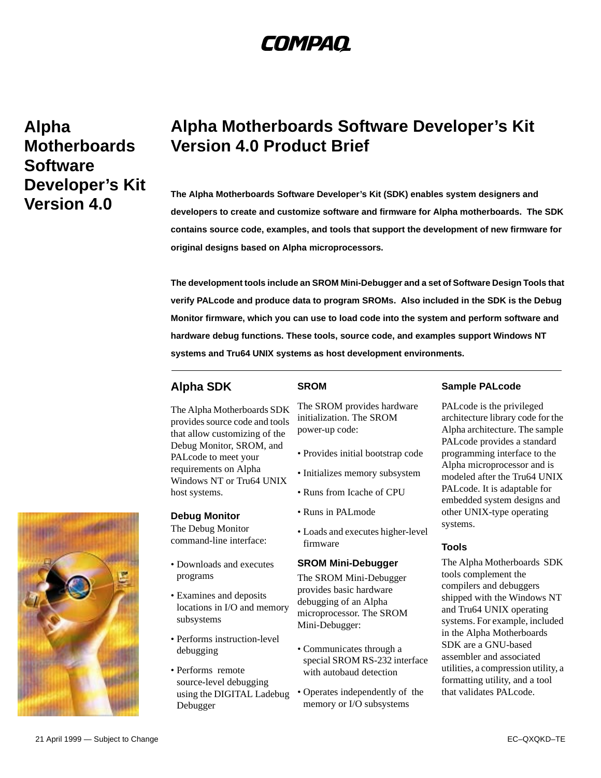# COMPAQ

**Alpha Motherboards Software Developer's Kit Version 4.0** 

## **Alpha Motherboards Software Developer's Kit Version 4.0 Product Brief**

**The Alpha Motherboards Software Developer's Kit (SDK) enables system designers and developers to create and customize software and firmware for Alpha motherboards. The SDK contains source code, examples, and tools that support the development of new firmware for original designs based on Alpha microprocessors.** 

**The development tools include an SROM Mini-Debugger and a set of Software Design Tools that verify PALcode and produce data to program SROMs. Also included in the SDK is the Debug Monitor firmware, which you can use to load code into the system and perform software and hardware debug functions. These tools, source code, and examples support Windows NT systems and Tru64 UNIX systems as host development environments.**

### **Alpha SDK**

### **SROM**

The Alpha Motherboards SDK provides source code and tools that allow customizing of the Debug Monitor, SROM, and PALcode to meet your requirements on Alpha Windows NT or Tru64 UNIX host systems.

#### **Debug Monitor**

The Debug Monitor command-line interface:

- Downloads and executes programs
- Examines and deposits locations in I/O and memory subsystems
- Performs instruction-level debugging
- Performs remote source-level debugging using the DIGITAL Ladebug Debugger

The SROM provides hardware initialization. The SROM power-up code:

- Provides initial bootstrap code
- Initializes memory subsystem
- Runs from Icache of CPU
- Runs in PALmode
- Loads and executes higher-level firmware

#### **SROM Mini-Debugger**

The SROM Mini-Debugger provides basic hardware debugging of an Alpha microprocessor. The SROM Mini-Debugger:

- Communicates through a special SROM RS-232 interface with autobaud detection
- Operates independently of the memory or I/O subsystems

#### **Sample PALcode**

PALcode is the privileged architecture library code for the Alpha architecture. The sample PALcode provides a standard programming interface to the Alpha microprocessor and is modeled after the Tru64 UNIX PALcode. It is adaptable for embedded system designs and other UNIX-type operating systems.

#### **Tools**

The Alpha Motherboards SDK tools complement the compilers and debuggers shipped with the Windows NT and Tru64 UNIX operating systems. For example, included in the Alpha Motherboards SDK are a GNU-based assembler and associated utilities, a compression utility, a formatting utility, and a tool that validates PALcode.